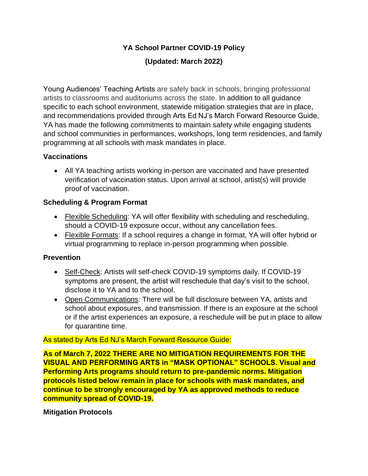## **YA School Partner COVID-19 Policy**

# **(Updated: March 2022)**

Young Audiences' Teaching Artists are safely back in schools, bringing professional artists to classrooms and auditoriums across the state. In addition to all guidance specific to each school environment, statewide mitigation strategies that are in place, and recommendations provided through Arts Ed NJ's March Forward Resource Guide, YA has made the following commitments to maintain safety while engaging students and school communities in performances, workshops, long term residencies, and family programming at all schools with mask mandates in place.

### **Vaccinations**

• All YA teaching artists working in-person are vaccinated and have presented verification of vaccination status. Upon arrival at school, artist(s) will provide proof of vaccination.

### **Scheduling & Program Format**

- Flexible Scheduling: YA will offer flexibility with scheduling and rescheduling, should a COVID-19 exposure occur, without any cancellation fees.
- Flexible Formats: If a school requires a change in format, YA will offer hybrid or virtual programming to replace in-person programming when possible.

## **Prevention**

- Self-Check: Artists will self-check COVID-19 symptoms daily. If COVID-19 symptoms are present, the artist will reschedule that day's visit to the school, disclose it to YA and to the school.
- Open Communications: There will be full disclosure between YA, artists and school about exposures, and transmission. If there is an exposure at the school or if the artist experiences an exposure, a reschedule will be put in place to allow for quarantine time.

#### As stated by Arts Ed NJ's March Forward Resource Guide:

**As of March 7, 2022 THERE ARE NO MITIGATION REQUIREMENTS FOR THE VISUAL AND PERFORMING ARTS in "MASK OPTIONAL" SCHOOLS. Visual and Performing Arts programs should return to pre-pandemic norms. Mitigation protocols listed below remain in place for schools with mask mandates, and continue to be strongly encouraged by YA as approved methods to reduce community spread of COVID-19.**

#### **Mitigation Protocols**